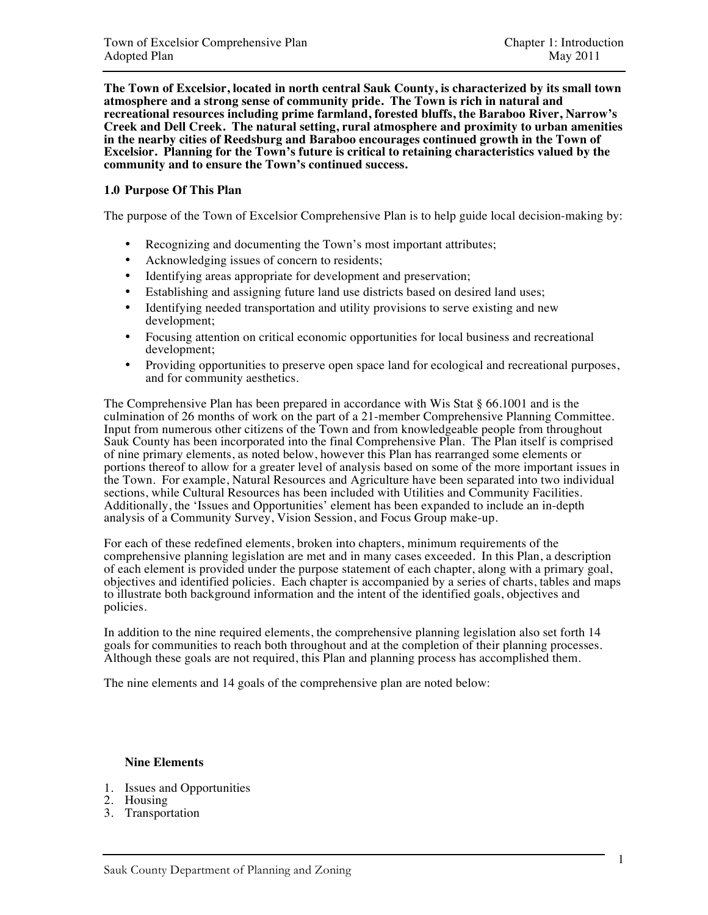**The Town of Excelsior, located in north central Sauk County, is characterized by its small town atmosphere and a strong sense of community pride. The Town is rich in natural and recreational resources including prime farmland, forested bluffs, the Baraboo River, Narrow's Creek and Dell Creek. The natural setting, rural atmosphere and proximity to urban amenities in the nearby cities of Reedsburg and Baraboo encourages continued growth in the Town of Excelsior. Planning for the Town's future is critical to retaining characteristics valued by the community and to ensure the Town's continued success.** 

## **1.0 Purpose Of This Plan**

The purpose of the Town of Excelsior Comprehensive Plan is to help guide local decision-making by:

- Recognizing and documenting the Town's most important attributes;
- Acknowledging issues of concern to residents;
- Identifying areas appropriate for development and preservation;
- Establishing and assigning future land use districts based on desired land uses;
- Identifying needed transportation and utility provisions to serve existing and new development;
- Focusing attention on critical economic opportunities for local business and recreational development;
- Providing opportunities to preserve open space land for ecological and recreational purposes, and for community aesthetics.

The Comprehensive Plan has been prepared in accordance with Wis Stat § 66.1001 and is the culmination of 26 months of work on the part of a 21-member Comprehensive Planning Committee. Input from numerous other citizens of the Town and from knowledgeable people from throughout Sauk County has been incorporated into the final Comprehensive Plan. The Plan itself is comprised of nine primary elements, as noted below, however this Plan has rearranged some elements or portions thereof to allow for a greater level of analysis based on some of the more important issues in the Town. For example, Natural Resources and Agriculture have been separated into two individual sections, while Cultural Resources has been included with Utilities and Community Facilities. Additionally, the 'Issues and Opportunities' element has been expanded to include an in-depth analysis of a Community Survey, Vision Session, and Focus Group make-up.

For each of these redefined elements, broken into chapters, minimum requirements of the comprehensive planning legislation are met and in many cases exceeded. In this Plan, a description of each element is provided under the purpose statement of each chapter, along with a primary goal, objectives and identified policies. Each chapter is accompanied by a series of charts, tables and maps to illustrate both background information and the intent of the identified goals, objectives and policies.

In addition to the nine required elements, the comprehensive planning legislation also set forth 14 goals for communities to reach both throughout and at the completion of their planning processes. Although these goals are not required, this Plan and planning process has accomplished them.

The nine elements and 14 goals of the comprehensive plan are noted below:

## **Nine Elements**

- 1. Issues and Opportunities
- 2. Housing
- 3. Transportation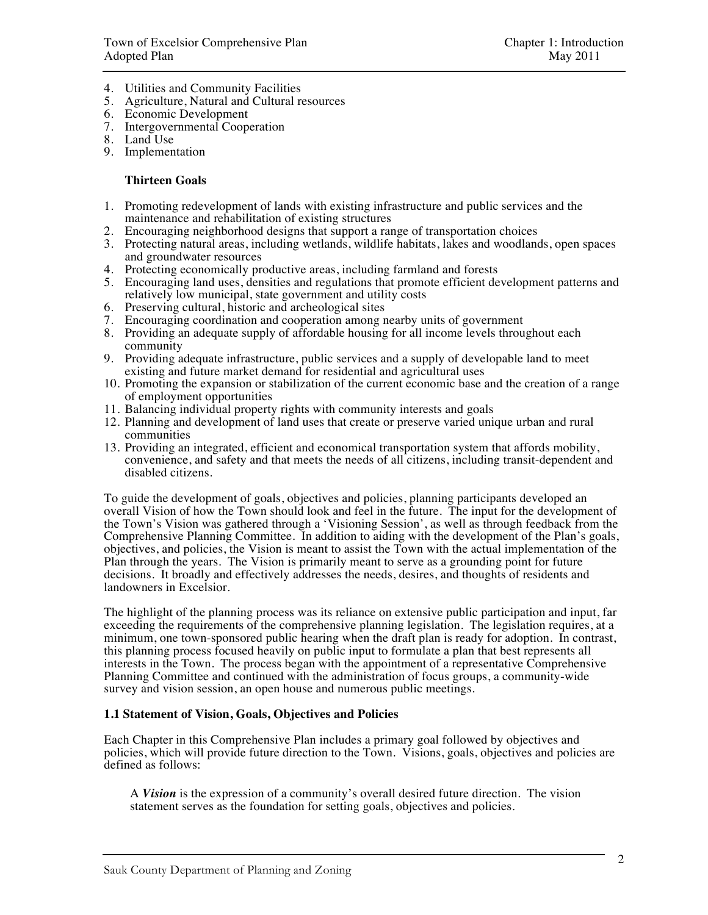- 4. Utilities and Community Facilities
- 5. Agriculture, Natural and Cultural resources
- 6. Economic Development
- 7. Intergovernmental Cooperation
- 8. Land Use
- 9. Implementation

### **Thirteen Goals**

- 1. Promoting redevelopment of lands with existing infrastructure and public services and the maintenance and rehabilitation of existing structures
- 2. Encouraging neighborhood designs that support a range of transportation choices
- 3. Protecting natural areas, including wetlands, wildlife habitats, lakes and woodlands, open spaces and groundwater resources
- 4. Protecting economically productive areas, including farmland and forests
- 5. Encouraging land uses, densities and regulations that promote efficient development patterns and relatively low municipal, state government and utility costs
- 6. Preserving cultural, historic and archeological sites
- 7. Encouraging coordination and cooperation among nearby units of government
- 8. Providing an adequate supply of affordable housing for all income levels throughout each community
- 9. Providing adequate infrastructure, public services and a supply of developable land to meet existing and future market demand for residential and agricultural uses
- 10. Promoting the expansion or stabilization of the current economic base and the creation of a range of employment opportunities
- 11. Balancing individual property rights with community interests and goals
- 12. Planning and development of land uses that create or preserve varied unique urban and rural communities
- 13. Providing an integrated, efficient and economical transportation system that affords mobility, convenience, and safety and that meets the needs of all citizens, including transit-dependent and disabled citizens.

To guide the development of goals, objectives and policies, planning participants developed an overall Vision of how the Town should look and feel in the future. The input for the development of the Town's Vision was gathered through a 'Visioning Session', as well as through feedback from the Comprehensive Planning Committee. In addition to aiding with the development of the Plan's goals, objectives, and policies, the Vision is meant to assist the Town with the actual implementation of the Plan through the years. The Vision is primarily meant to serve as a grounding point for future decisions. It broadly and effectively addresses the needs, desires, and thoughts of residents and landowners in Excelsior.

The highlight of the planning process was its reliance on extensive public participation and input, far exceeding the requirements of the comprehensive planning legislation. The legislation requires, at a minimum, one town-sponsored public hearing when the draft plan is ready for adoption. In contrast, this planning process focused heavily on public input to formulate a plan that best represents all interests in the Town. The process began with the appointment of a representative Comprehensive Planning Committee and continued with the administration of focus groups, a community-wide survey and vision session, an open house and numerous public meetings.

### **1.1 Statement of Vision, Goals, Objectives and Policies**

Each Chapter in this Comprehensive Plan includes a primary goal followed by objectives and policies, which will provide future direction to the Town. Visions, goals, objectives and policies are defined as follows:

 A *Vision* is the expression of a community's overall desired future direction. The vision statement serves as the foundation for setting goals, objectives and policies.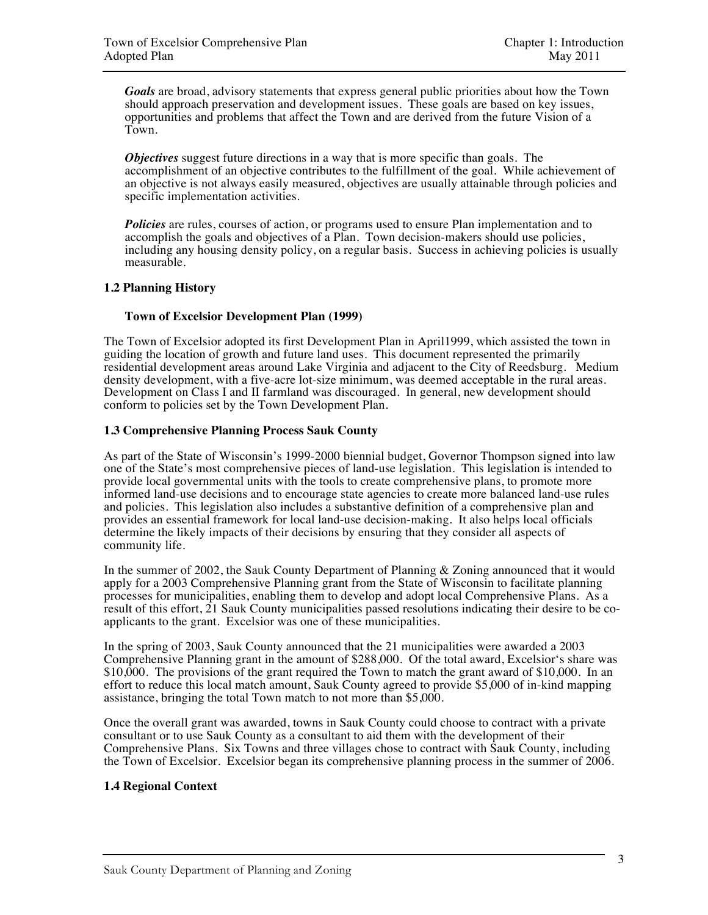*Goals* are broad, advisory statements that express general public priorities about how the Town should approach preservation and development issues. These goals are based on key issues, opportunities and problems that affect the Town and are derived from the future Vision of a Town.

 *Objectives* suggest future directions in a way that is more specific than goals. The accomplishment of an objective contributes to the fulfillment of the goal. While achievement of an objective is not always easily measured, objectives are usually attainable through policies and specific implementation activities.

*Policies* are rules, courses of action, or programs used to ensure Plan implementation and to accomplish the goals and objectives of a Plan. Town decision-makers should use policies, including any housing density policy, on a regular basis. Success in achieving policies is usually measurable.

### **1.2 Planning History**

### **Town of Excelsior Development Plan (1999)**

The Town of Excelsior adopted its first Development Plan in April1999, which assisted the town in guiding the location of growth and future land uses. This document represented the primarily residential development areas around Lake Virginia and adjacent to the City of Reedsburg. Medium density development, with a five-acre lot-size minimum, was deemed acceptable in the rural areas. Development on Class I and II farmland was discouraged. In general, new development should conform to policies set by the Town Development Plan.

### **1.3 Comprehensive Planning Process Sauk County**

As part of the State of Wisconsin's 1999-2000 biennial budget, Governor Thompson signed into law one of the State's most comprehensive pieces of land-use legislation. This legislation is intended to provide local governmental units with the tools to create comprehensive plans, to promote more informed land-use decisions and to encourage state agencies to create more balanced land-use rules and policies. This legislation also includes a substantive definition of a comprehensive plan and provides an essential framework for local land-use decision-making. It also helps local officials determine the likely impacts of their decisions by ensuring that they consider all aspects of community life.

In the summer of 2002, the Sauk County Department of Planning & Zoning announced that it would apply for a 2003 Comprehensive Planning grant from the State of Wisconsin to facilitate planning processes for municipalities, enabling them to develop and adopt local Comprehensive Plans. As a result of this effort, 21 Sauk County municipalities passed resolutions indicating their desire to be coapplicants to the grant. Excelsior was one of these municipalities.

In the spring of 2003, Sauk County announced that the 21 municipalities were awarded a 2003 Comprehensive Planning grant in the amount of \$288,000. Of the total award, Excelsior's share was \$10,000. The provisions of the grant required the Town to match the grant award of \$10,000. In an effort to reduce this local match amount, Sauk County agreed to provide \$5,000 of in-kind mapping assistance, bringing the total Town match to not more than \$5,000.

Once the overall grant was awarded, towns in Sauk County could choose to contract with a private consultant or to use Sauk County as a consultant to aid them with the development of their Comprehensive Plans. Six Towns and three villages chose to contract with Sauk County, including the Town of Excelsior. Excelsior began its comprehensive planning process in the summer of 2006.

## **1.4 Regional Context**